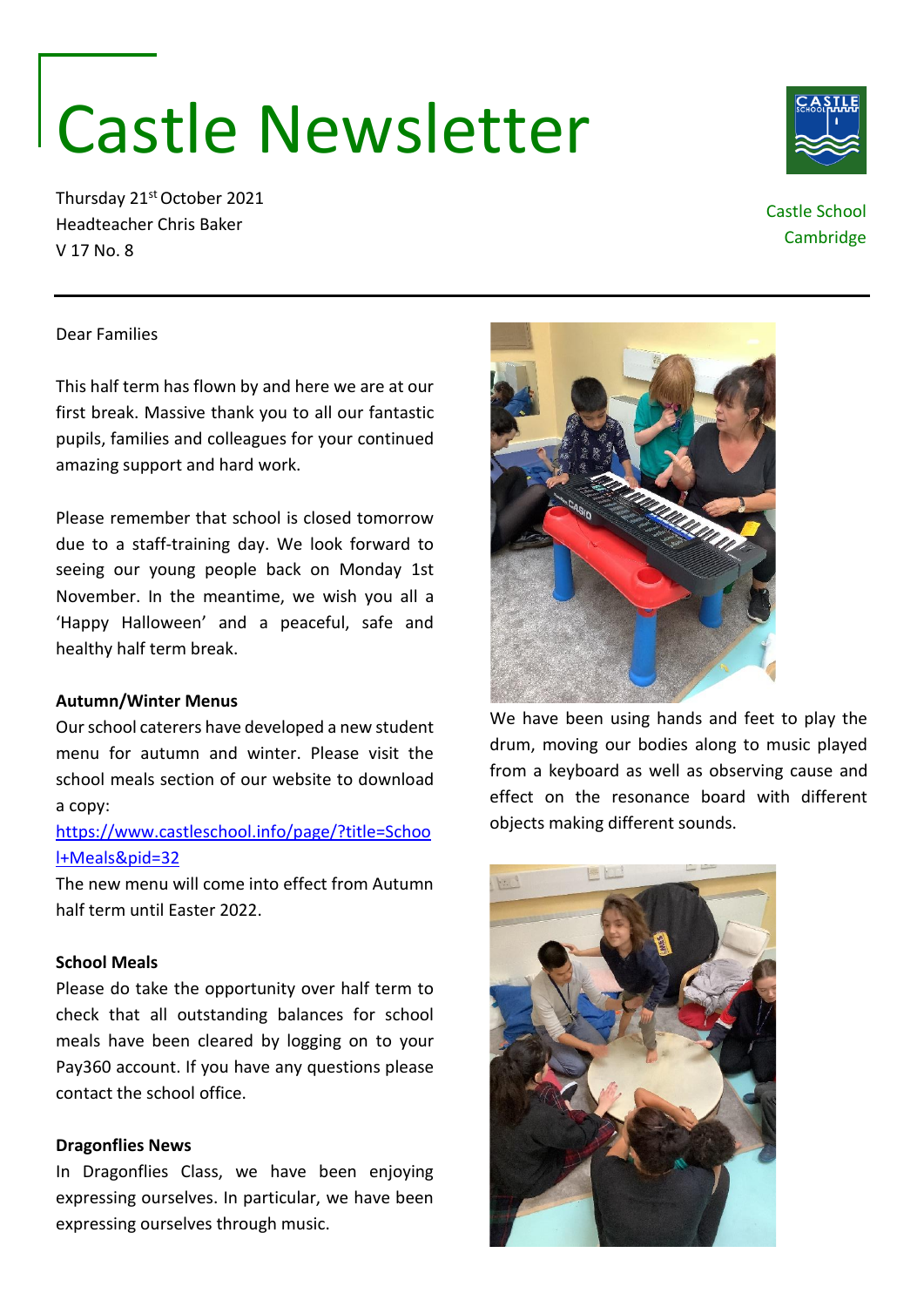# Castle Newsletter

Thursday 21st October 2021 Headteacher Chris Baker V 17 No. 8

# Castle School

**Cambridge** 

## Dear Families

This half term has flown by and here we are at our first break. Massive thank you to all our fantastic pupils, families and colleagues for your continued amazing support and hard work.

Please remember that school is closed tomorrow due to a staff-training day. We look forward to seeing our young people back on Monday 1st November. In the meantime, we wish you all a 'Happy Halloween' and a peaceful, safe and healthy half term break.

### **Autumn/Winter Menus**

Our school caterers have developed a new student menu for autumn and winter. Please visit the school meals section of our website to download a copy:

# [https://www.castleschool.info/page/?title=Schoo](https://www.castleschool.info/page/?title=School+Meals&pid=32) [l+Meals&pid=32](https://www.castleschool.info/page/?title=School+Meals&pid=32)

The new menu will come into effect from Autumn half term until Easter 2022.

#### **School Meals**

Please do take the opportunity over half term to check that all outstanding balances for school meals have been cleared by logging on to your Pay360 account. If you have any questions please contact the school office.

### **Dragonflies News**

In Dragonflies Class, we have been enjoying expressing ourselves. In particular, we have been expressing ourselves through music.



We have been using hands and feet to play the drum, moving our bodies along to music played from a keyboard as well as observing cause and effect on the resonance board with different objects making different sounds.